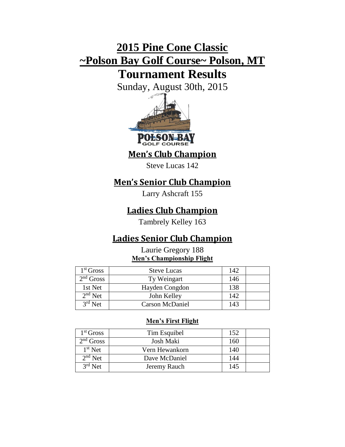# **2015 Pine Cone Classic ~Polson Bay Golf Course~ Polson, MT**

# **Tournament Results**

Sunday, August 30th, 2015



**Men's Club Champion**

Steve Lucas 142

# **Men's Senior Club Champion**

Larry Ashcraft 155

# **Ladies Club Champion**

Tambrely Kelley 163

# **Ladies Senior Club Champion**

## Laurie Gregory 188 **Men's Championship Flight**

| $1st$ Gross | <b>Steve Lucas</b>     | 142 |  |
|-------------|------------------------|-----|--|
| $2nd$ Gross | Ty Weingart            | 146 |  |
| 1st Net     | Hayden Congdon         | 138 |  |
| $2nd$ Net   | John Kelley            | 142 |  |
| $3rd$ Net   | <b>Carson McDaniel</b> | 143 |  |

## **Men's First Flight**

| 1 <sup>st</sup> Gross | Tim Esquibel   | 152 |  |
|-----------------------|----------------|-----|--|
| $2nd$ Gross           | Josh Maki      | 160 |  |
| $1st$ Net             | Vern Hewankorn | 140 |  |
| $2nd$ Net             | Dave McDaniel  | 144 |  |
| $3rd$ Net             | Jeremy Rauch   | 145 |  |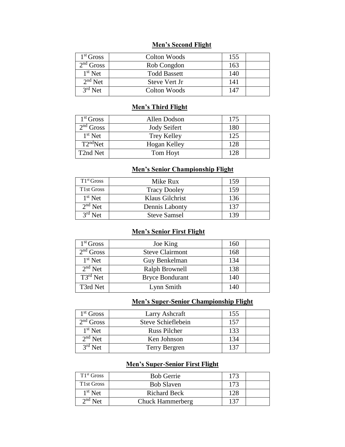### **Men's Second Flight**

| 1 <sup>st</sup> Gross | Colton Woods        | 155 |  |
|-----------------------|---------------------|-----|--|
| $2nd$ Gross           | Rob Congdon         | 163 |  |
| $1st$ Net             | <b>Todd Bassett</b> | 140 |  |
| $2nd$ Net             | Steve Vert Jr       | 141 |  |
| $3rd$ Net             | Colton Woods        | 147 |  |

#### **Men's Third Flight**

| 1 <sup>st</sup> Gross | Allen Dodson        | 175 |  |
|-----------------------|---------------------|-----|--|
| $2nd$ Gross           | <b>Jody Seifert</b> | 180 |  |
| $1st$ Net             | <b>Trey Kelley</b>  | 125 |  |
| T2 <sup>nd</sup> Net  | Hogan Kelley        | 128 |  |
| T2nd Net              | Tom Hoyt            | 128 |  |
|                       |                     |     |  |

#### **Men's Senior Championship Flight**

| $T1^{st}$ Gross | Mike Rux            | 159 |  |
|-----------------|---------------------|-----|--|
| T1st Gross      | <b>Tracy Dooley</b> | 159 |  |
| $1st$ Net       | Klaus Gilchrist     | 136 |  |
| $2nd$ Net       | Dennis Labonty      | 137 |  |
| $3rd$ Net       | <b>Steve Samsel</b> | 139 |  |

### **Men's Senior First Flight**

| 1 <sup>st</sup> Gross | Joe King               | 160 |  |
|-----------------------|------------------------|-----|--|
| $2nd$ Gross           | <b>Steve Clairmont</b> | 168 |  |
| $1st$ Net             | Guy Benkelman          | 134 |  |
| $2nd$ Net             | Ralph Brownell         | 138 |  |
| $T3^{rd}$ Net         | <b>Bryce Bondurant</b> | 140 |  |
| T3rd Net              | Lynn Smith             | 140 |  |

### **Men's Super-Senior Championship Flight**

| $1st$ Gross | Larry Ashcraft     | 155 |  |
|-------------|--------------------|-----|--|
| $2nd$ Gross | Steve Schieflebein | 157 |  |
| $1st$ Net   | Russ Pilcher       | 133 |  |
| $2nd$ Net   | Ken Johnson        | 134 |  |
| $3rd$ Net   | Terry Bergren      | 137 |  |

### **Men's Super-Senior First Flight**

| T1 <sup>st</sup> Gross | <b>Bob Gerrie</b>       | 173 |  |
|------------------------|-------------------------|-----|--|
| T1st Gross             | <b>Bob Slaven</b>       | 173 |  |
| $1st$ Net              | <b>Richard Beck</b>     | 128 |  |
| $2nd$ Net              | <b>Chuck Hammerberg</b> | 137 |  |